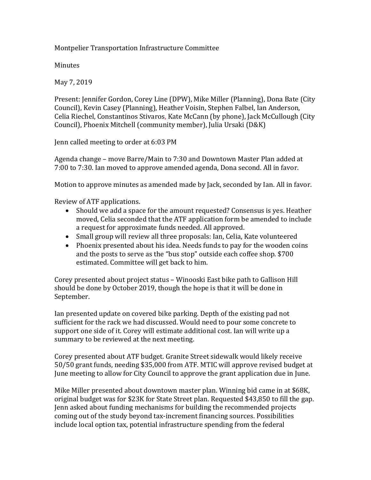## Montpelier Transportation Infrastructure Committee

Minutes

May 7, 2019

Present: Jennifer Gordon, Corey Line (DPW), Mike Miller (Planning), Dona Bate (City Council), Kevin Casey (Planning), Heather Voisin, Stephen Falbel, Ian Anderson, Celia Riechel, Constantinos Stivaros, Kate McCann (by phone), Jack McCullough (City Council), Phoenix Mitchell (community member), Julia Ursaki (D&K)

Jenn called meeting to order at 6:03 PM

Agenda change – move Barre/Main to 7:30 and Downtown Master Plan added at 7:00 to 7:30. Ian moved to approve amended agenda, Dona second. All in favor.

Motion to approve minutes as amended made by Jack, seconded by Ian. All in favor.

Review of ATF applications.

- Should we add a space for the amount requested? Consensus is yes. Heather moved, Celia seconded that the ATF application form be amended to include a request for approximate funds needed. All approved.
- Small group will review all three proposals: Ian, Celia, Kate volunteered
- Phoenix presented about his idea. Needs funds to pay for the wooden coins and the posts to serve as the "bus stop" outside each coffee shop. \$700 estimated. Committee will get back to him.

Corey presented about project status – Winooski East bike path to Gallison Hill should be done by October 2019, though the hope is that it will be done in September.

Ian presented update on covered bike parking. Depth of the existing pad not sufficient for the rack we had discussed. Would need to pour some concrete to support one side of it. Corey will estimate additional cost. Ian will write up a summary to be reviewed at the next meeting.

Corey presented about ATF budget. Granite Street sidewalk would likely receive 50/50 grant funds, needing \$35,000 from ATF. MTIC will approve revised budget at June meeting to allow for City Council to approve the grant application due in June.

Mike Miller presented about downtown master plan. Winning bid came in at \$68K, original budget was for \$23K for State Street plan. Requested \$43,850 to fill the gap. Jenn asked about funding mechanisms for building the recommended projects coming out of the study beyond tax-increment financing sources. Possibilities include local option tax, potential infrastructure spending from the federal